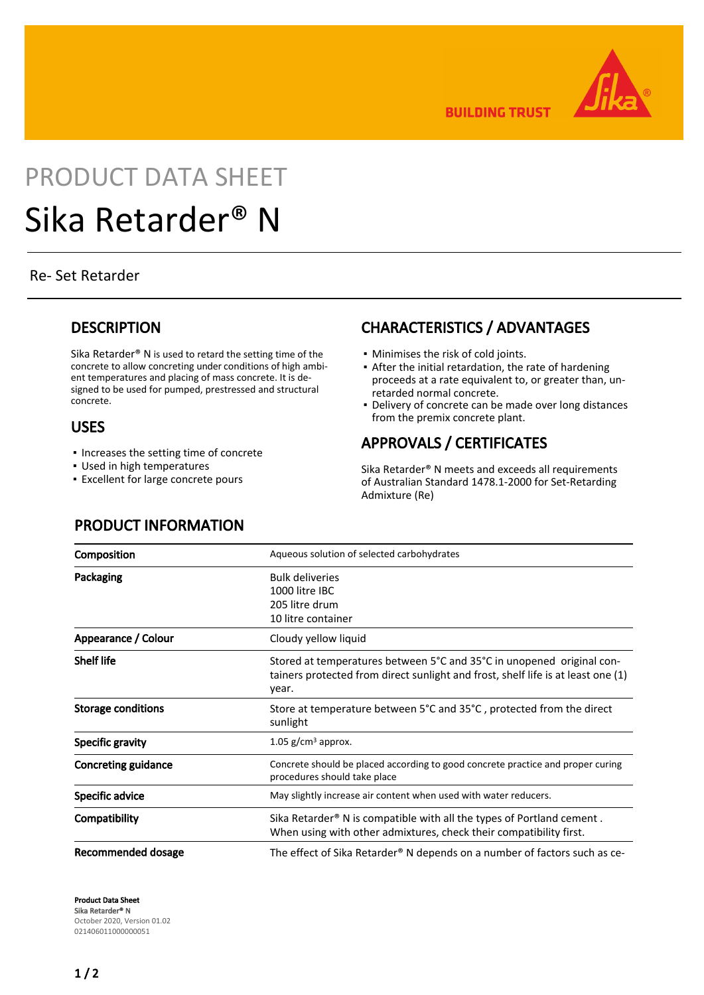

**BUILDING TRUST** 

# PRODUCT DATA SHEET Sika Retarder® N

#### Re- Set Retarder

#### **DESCRIPTION**

Sika Retarder® N is used to retard the setting time of the concrete to allow concreting under conditions of high ambient temperatures and placing of mass concrete. It is designed to be used for pumped, prestressed and structural concrete.

#### USES

- Increases the setting time of concrete
- Used in high temperatures
- **Excellent for large concrete pours**

# CHARACTERISTICS / ADVANTAGES

- Minimises the risk of cold joints.
- After the initial retardation, the rate of hardening proceeds at a rate equivalent to, or greater than, unretarded normal concrete.
- Delivery of concrete can be made over long distances from the premix concrete plant.

# APPROVALS / CERTIFICATES

Sika Retarder® N meets and exceeds all requirements of Australian Standard 1478.1-2000 for Set-Retarding Admixture (Re)

# PRODUCT INFORMATION

| Composition                | Aqueous solution of selected carbohydrates                                                                                                                         |
|----------------------------|--------------------------------------------------------------------------------------------------------------------------------------------------------------------|
| Packaging                  | <b>Bulk deliveries</b><br>1000 litre IBC<br>205 litre drum<br>10 litre container                                                                                   |
| Appearance / Colour        | Cloudy yellow liquid                                                                                                                                               |
| <b>Shelf life</b>          | Stored at temperatures between 5°C and 35°C in unopened original con-<br>tainers protected from direct sunlight and frost, shelf life is at least one (1)<br>year. |
| <b>Storage conditions</b>  | Store at temperature between 5°C and 35°C, protected from the direct<br>sunlight                                                                                   |
| Specific gravity           | $1.05$ g/cm <sup>3</sup> approx.                                                                                                                                   |
| <b>Concreting guidance</b> | Concrete should be placed according to good concrete practice and proper curing<br>procedures should take place                                                    |
| Specific advice            | May slightly increase air content when used with water reducers.                                                                                                   |
| Compatibility              | Sika Retarder <sup>®</sup> N is compatible with all the types of Portland cement.<br>When using with other admixtures, check their compatibility first.            |
| Recommended dosage         | The effect of Sika Retarder® N depends on a number of factors such as ce-                                                                                          |

Product Data Sheet Sika Retarder® N October 2020, Version 01.02 021406011000000051